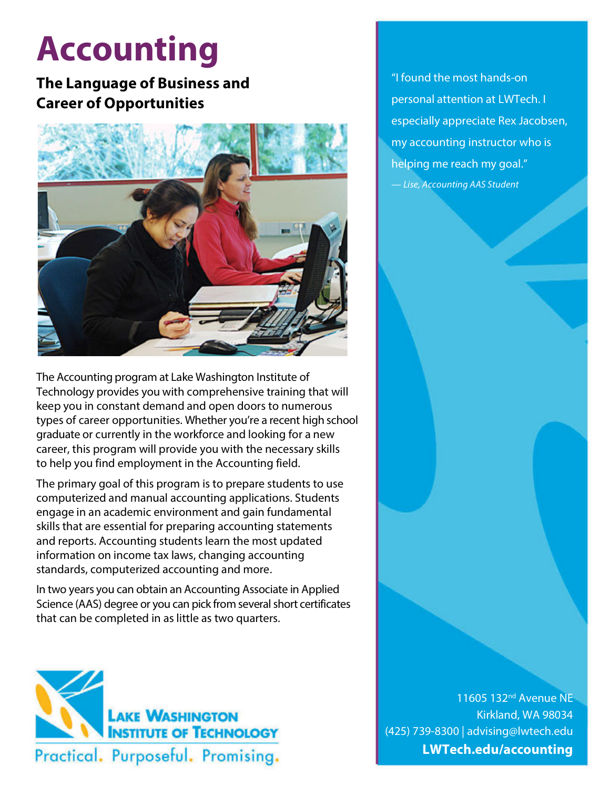# **Accounting**

## **The Language of Business and Career of Opportunities**



The Accounting program at Lake Washington Institute of Technology provides you with comprehensive training that will keep you in constant demand and open doors to numerous types of career opportunities. Whether you're a recent high school graduate or currently in the workforce and looking for a new career, this program will provide you with the necessary skills to help you find employment in the Accounting field.

The primary goal of this program is to prepare students to use computerized and manual accounting applications. Students engage in an academic environment and gain fundamental skills that are essential for preparing accounting statements and reports. Accounting students learn the most updated information on income tax laws, changing accounting standards, computerized accounting and more.

In two years you can obtain an Accounting Associate in Applied Science (AAS) degree or you can pick from several short certificates that can be completed in as little as two quarters.



"I found the most hands-on personal attention at LWTech. I especially appreciate Rex Jacobsen, my accounting instructor who is helping me reach my goal." — *Lise, Accounting AAS Student*

11605 132<sup>nd</sup> Avenue NE Kirkland, WA 98034 (425) 739-8300 | advising@lwtech.edu **LWTech.edu/accounting**